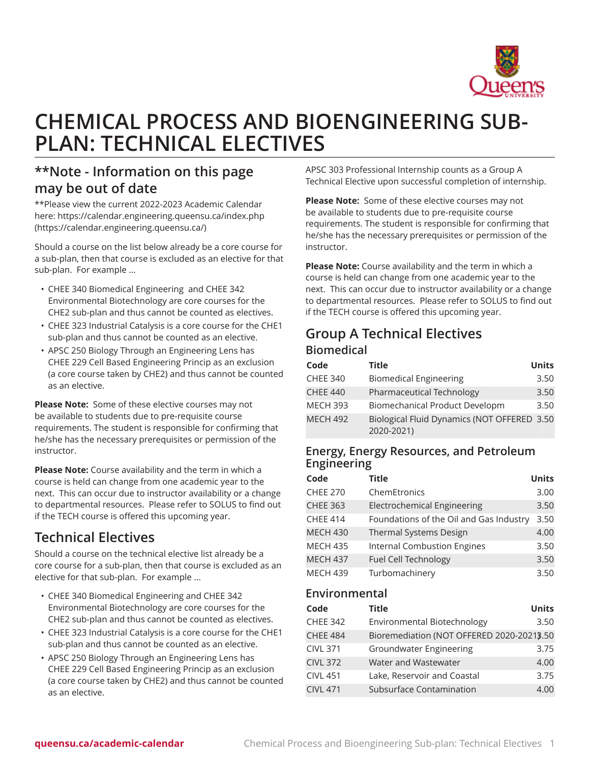

# **CHEMICAL PROCESS AND BIOENGINEERING SUB-PLAN: TECHNICAL ELECTIVES**

## **\*\*Note - Information on this page may be out of date**

\*\*Please view the current 2022-2023 Academic Calendar here: [https://calendar.engineering.queensu.ca/index.php](https://calendar.engineering.queensu.ca/) ([https://calendar.engineering.queensu.ca/\)](https://calendar.engineering.queensu.ca/)

Should a course on the list below already be a core course for a sub-plan, then that course is excluded as an elective for that sub-plan. For example ...

- CHEE 340 Biomedical Engineering and CHEE 342 Environmental Biotechnology are core courses for the CHE2 sub-plan and thus cannot be counted as electives.
- CHEE 323 Industrial Catalysis is a core course for the CHE1 sub-plan and thus cannot be counted as an elective.
- APSC 250 Biology Through an Engineering Lens has CHEE 229 Cell Based Engineering Princip as an exclusion (a core course taken by CHE2) and thus cannot be counted as an elective.

**Please Note:** Some of these elective courses may not be available to students due to pre-requisite course requirements. The student is responsible for confirming that he/she has the necessary prerequisites or permission of the instructor.

**Please Note:** Course availability and the term in which a course is held can change from one academic year to the next. This can occur due to instructor availability or a change to departmental resources. Please refer to SOLUS to find out if the TECH course is offered this upcoming year.

# **Technical Electives**

Should a course on the technical elective list already be a core course for a sub-plan, then that course is excluded as an elective for that sub-plan. For example ...

- CHEE 340 Biomedical Engineering and CHEE 342 Environmental Biotechnology are core courses for the CHE2 sub-plan and thus cannot be counted as electives.
- CHEE 323 Industrial Catalysis is a core course for the CHE1 sub-plan and thus cannot be counted as an elective.
- APSC 250 Biology Through an Engineering Lens has CHEE 229 Cell Based Engineering Princip as an exclusion (a core course taken by CHE2) and thus cannot be counted as an elective.

APSC 303 Professional Internship counts as a Group A Technical Elective upon successful completion of internship.

**Please Note:** Some of these elective courses may not be available to students due to pre-requisite course requirements. The student is responsible for confirming that he/she has the necessary prerequisites or permission of the instructor.

**Please Note:** Course availability and the term in which a course is held can change from one academic year to the next. This can occur due to instructor availability or a change to departmental resources. Please refer to SOLUS to find out if the TECH course is offered this upcoming year.

## **Group A Technical Electives Biomedical**

| Code            | <b>Title</b>                                              | <b>Units</b> |
|-----------------|-----------------------------------------------------------|--------------|
| <b>CHEE 340</b> | <b>Biomedical Engineering</b>                             | 3.50         |
| <b>CHEE 440</b> | Pharmaceutical Technology                                 | 3.50         |
| <b>MECH 393</b> | Biomechanical Product Developm                            | 3.50         |
| <b>MECH 492</b> | Biological Fluid Dynamics (NOT OFFERED 3.50<br>2020-2021) |              |

#### **Energy, Energy Resources, and Petroleum Engineering**

| Code            | <b>Title</b>                            | <b>Units</b> |
|-----------------|-----------------------------------------|--------------|
| <b>CHEE 270</b> | ChemEtronics                            | 3.00         |
| <b>CHEE 363</b> | <b>Electrochemical Engineering</b>      | 3.50         |
| <b>CHEE 414</b> | Foundations of the Oil and Gas Industry | 3.50         |
| <b>MECH 430</b> | Thermal Systems Design                  | 4.00         |
| <b>MECH 435</b> | <b>Internal Combustion Engines</b>      | 3.50         |
| <b>MECH 437</b> | Fuel Cell Technology                    | 3.50         |
| <b>MECH 439</b> | Turbomachinery                          | 3.50         |

#### **Environmental**

| Code            | <b>Title</b>                              | <b>Units</b> |
|-----------------|-------------------------------------------|--------------|
| <b>CHEE 342</b> | Environmental Biotechnology               | 3.50         |
| <b>CHEE 484</b> | Bioremediation (NOT OFFERED 2020-20213.50 |              |
| <b>CIVL 371</b> | <b>Groundwater Engineering</b>            | 3.75         |
| <b>CIVL 372</b> | Water and Wastewater                      | 4.00         |
| <b>CIVL 451</b> | Lake, Reservoir and Coastal               | 3.75         |
| <b>CIVL 471</b> | Subsurface Contamination                  | 4.00         |